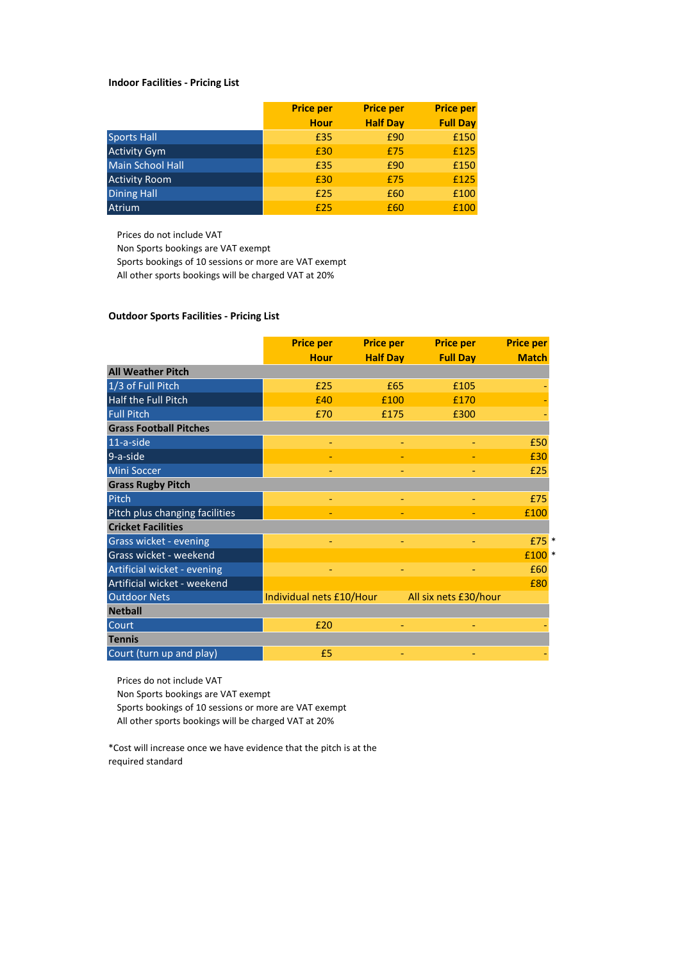### **Indoor Facilities - Pricing List**

|                         | <b>Price per</b> | <b>Price per</b> | <b>Price per</b> |
|-------------------------|------------------|------------------|------------------|
|                         | <b>Hour</b>      | <b>Half Day</b>  | <b>Full Day</b>  |
| <b>Sports Hall</b>      | £35              | £90              | £150             |
| <b>Activity Gym</b>     | £30              | £75              | £125             |
| <b>Main School Hall</b> | £35              | £90              | £150             |
| <b>Activity Room</b>    | £30              | £75              | £125             |
| <b>Dining Hall</b>      | £25              | £60              | £100             |
| <b>Atrium</b>           | £25              | £60              | £100             |

Prices do not include VAT

Non Sports bookings are VAT exempt

Sports bookings of 10 sessions or more are VAT exempt

All other sports bookings will be charged VAT at 20%

### **Outdoor Sports Facilities - Pricing List**

|                                | <b>Price per</b>         | <b>Price per</b> | <b>Price per</b>      | <b>Price per</b>  |
|--------------------------------|--------------------------|------------------|-----------------------|-------------------|
|                                | <b>Hour</b>              | <b>Half Day</b>  | <b>Full Day</b>       | <b>Match</b>      |
| <b>All Weather Pitch</b>       |                          |                  |                       |                   |
| 1/3 of Full Pitch              | £25                      | £65              | £105                  |                   |
| Half the Full Pitch            | f40                      | £100             | £170                  |                   |
| <b>Full Pitch</b>              | £70                      | £175             | £300                  |                   |
| <b>Grass Football Pitches</b>  |                          |                  |                       |                   |
| 11-a-side                      |                          |                  |                       | £50               |
| 9-a-side                       |                          |                  |                       | £30               |
| Mini Soccer                    |                          |                  |                       | £25               |
| <b>Grass Rugby Pitch</b>       |                          |                  |                       |                   |
| Pitch                          |                          |                  |                       | £75               |
| Pitch plus changing facilities |                          |                  |                       | £100              |
| <b>Cricket Facilities</b>      |                          |                  |                       |                   |
| Grass wicket - evening         |                          |                  |                       | £75 *             |
| Grass wicket - weekend         |                          |                  |                       | £100 <sup>*</sup> |
| Artificial wicket - evening    |                          |                  |                       | £60               |
| Artificial wicket - weekend    |                          |                  |                       | £80               |
| <b>Outdoor Nets</b>            | Individual nets £10/Hour |                  | All six nets £30/hour |                   |
| <b>Netball</b>                 |                          |                  |                       |                   |
| Court                          | £20                      |                  |                       |                   |
| <b>Tennis</b>                  |                          |                  |                       |                   |
| Court (turn up and play)       | £5                       |                  |                       |                   |

Prices do not include VAT

Non Sports bookings are VAT exempt

Sports bookings of 10 sessions or more are VAT exempt

All other sports bookings will be charged VAT at 20%

\*Cost will increase once we have evidence that the pitch is at the required standard